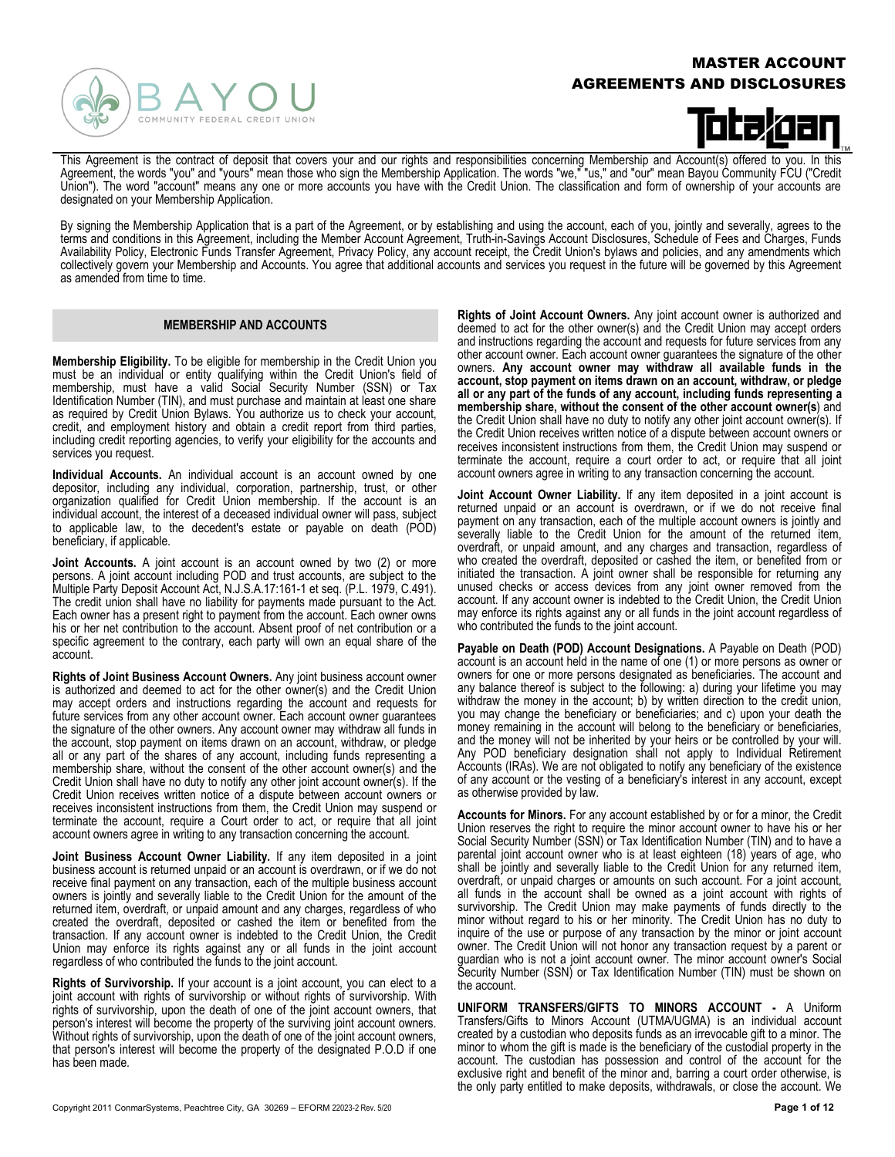### MASTER ACCOUNT AGREEMENTS AND DISCLOSURES



# bteken

This Agreement is the contract of deposit that covers your and our rights and responsibilities concerning Membership and Account(s) offered to you. In this Agreement, the words "you" and "yours" mean those who sign the Membership Application. The words "we," "us," and "our" mean Bayou Community FCU ("Credit Union"). The word "account" means any one or more accounts you have with the Credit Union. The classification and form of ownership of your accounts are designated on your Membership Application.

By signing the Membership Application that is a part of the Agreement, or by establishing and using the account, each of you, jointly and severally, agrees to the terms and conditions in this Agreement, including the Member Account Agreement, Truth-in-Savings Account Disclosures, Schedule of Fees and Charges, Funds Availability Policy, Electronic Funds Transfer Agreement, Privacy Policy, any account receipt, the Credit Union's bylaws and policies, and any amendments which collectively govern your Membership and Accounts. You agree that additional accounts and services you request in the future will be governed by this Agreement as amended from time to time.

#### **MEMBERSHIP AND ACCOUNTS**

**Membership Eligibility.** To be eligible for membership in the Credit Union you must be an individual or entity qualifying within the Credit Union's field of membership, must have a valid Social Security Number (SSN) or Tax Identification Number (TIN), and must purchase and maintain at least one share as required by Credit Union Bylaws. You authorize us to check your account, credit, and employment history and obtain a credit report from third parties, including credit reporting agencies, to verify your eligibility for the accounts and services you request.

**Individual Accounts.** An individual account is an account owned by one depositor, including any individual, corporation, partnership, trust, or other organization qualified for Credit Union membership. If the account is an individual account, the interest of a deceased individual owner will pass, subject to applicable law, to the decedent's estate or payable on death (POD) beneficiary, if applicable.

**Joint Accounts.** A joint account is an account owned by two (2) or more persons. A joint account including POD and trust accounts, are subject to the Multiple Party Deposit Account Act, N.J.S.A.17:161-1 et seq. (P.L. 1979, C.491). The credit union shall have no liability for payments made pursuant to the Act. Each owner has a present right to payment from the account. Each owner owns his or her net contribution to the account. Absent proof of net contribution or a specific agreement to the contrary, each party will own an equal share of the account.

**Rights of Joint Business Account Owners.** Any joint business account owner is authorized and deemed to act for the other owner(s) and the Credit Union may accept orders and instructions regarding the account and requests for future services from any other account owner. Each account owner guarantees the signature of the other owners. Any account owner may withdraw all funds in the account, stop payment on items drawn on an account, withdraw, or pledge all or any part of the shares of any account, including funds representing a membership share, without the consent of the other account owner(s) and the Credit Union shall have no duty to notify any other joint account owner(s). If the Credit Union receives written notice of a dispute between account owners or receives inconsistent instructions from them, the Credit Union may suspend or terminate the account, require a Court order to act, or require that all joint account owners agree in writing to any transaction concerning the account.

**Joint Business Account Owner Liability.** If any item deposited in a joint business account is returned unpaid or an account is overdrawn, or if we do not receive final payment on any transaction, each of the multiple business account owners is jointly and severally liable to the Credit Union for the amount of the returned item, overdraft, or unpaid amount and any charges, regardless of who created the overdraft, deposited or cashed the item or benefited from the transaction. If any account owner is indebted to the Credit Union, the Credit Union may enforce its rights against any or all funds in the joint account regardless of who contributed the funds to the joint account.

**Rights of Survivorship.** If your account is a joint account, you can elect to a joint account with rights of survivorship or without rights of survivorship. With rights of survivorship, upon the death of one of the joint account owners, that person's interest will become the property of the surviving joint account owners. Without rights of survivorship, upon the death of one of the joint account owners, that person's interest will become the property of the designated P.O.D if one has been made.

**Rights of Joint Account Owners.** Any joint account owner is authorized and deemed to act for the other owner(s) and the Credit Union may accept orders and instructions regarding the account and requests for future services from any other account owner. Each account owner guarantees the signature of the other owners. **Any account owner may withdraw all available funds in the account, stop payment on items drawn on an account, withdraw, or pledge all or any part of the funds of any account, including funds representing a membership share, without the consent of the other account owner(s**) and the Credit Union shall have no duty to notify any other joint account owner(s). If the Credit Union receives written notice of a dispute between account owners or receives inconsistent instructions from them, the Credit Union may suspend or terminate the account, require a court order to act, or require that all joint account owners agree in writing to any transaction concerning the account.

**Joint Account Owner Liability.** If any item deposited in a joint account is returned unpaid or an account is overdrawn, or if we do not receive final payment on any transaction, each of the multiple account owners is jointly and severally liable to the Credit Union for the amount of the returned item, overdraft, or unpaid amount, and any charges and transaction, regardless of who created the overdraft, deposited or cashed the item, or benefited from or initiated the transaction. A joint owner shall be responsible for returning any unused checks or access devices from any joint owner removed from the account. If any account owner is indebted to the Credit Union, the Credit Union may enforce its rights against any or all funds in the joint account regardless of who contributed the funds to the joint account.

**Payable on Death (POD) Account Designations.** A Payable on Death (POD) account is an account held in the name of one (1) or more persons as owner or owners for one or more persons designated as beneficiaries. The account and any balance thereof is subject to the following: a) during your lifetime you may withdraw the money in the account; b) by written direction to the credit union, you may change the beneficiary or beneficiaries; and c) upon your death the money remaining in the account will belong to the beneficiary or beneficiaries, and the money will not be inherited by your heirs or be controlled by your will. Any POD beneficiary designation shall not apply to Individual Retirement Accounts (IRAs). We are not obligated to notify any beneficiary of the existence of any account or the vesting of a beneficiary's interest in any account, except as otherwise provided by law.

**Accounts for Minors.** For any account established by or for a minor, the Credit Union reserves the right to require the minor account owner to have his or her Social Security Number (SSN) or Tax Identification Number (TIN) and to have a parental joint account owner who is at least eighteen (18) years of age, who shall be jointly and severally liable to the Credit Union for any returned item, overdraft, or unpaid charges or amounts on such account. For a joint account, all funds in the account shall be owned as a joint account with rights of survivorship. The Credit Union may make payments of funds directly to the minor without regard to his or her minority. The Credit Union has no duty to inquire of the use or purpose of any transaction by the minor or joint account owner. The Credit Union will not honor any transaction request by a parent or guardian who is not a joint account owner. The minor account owner's Social Security Number (SSN) or Tax Identification Number (TIN) must be shown on the account.

**UNIFORM TRANSFERS/GIFTS TO MINORS ACCOUNT -** A Uniform Transfers/Gifts to Minors Account (UTMA/UGMA) is an individual account created by a custodian who deposits funds as an irrevocable gift to a minor. The minor to whom the gift is made is the beneficiary of the custodial property in the account. The custodian has possession and control of the account for the exclusive right and benefit of the minor and, barring a court order otherwise, is the only party entitled to make deposits, withdrawals, or close the account. We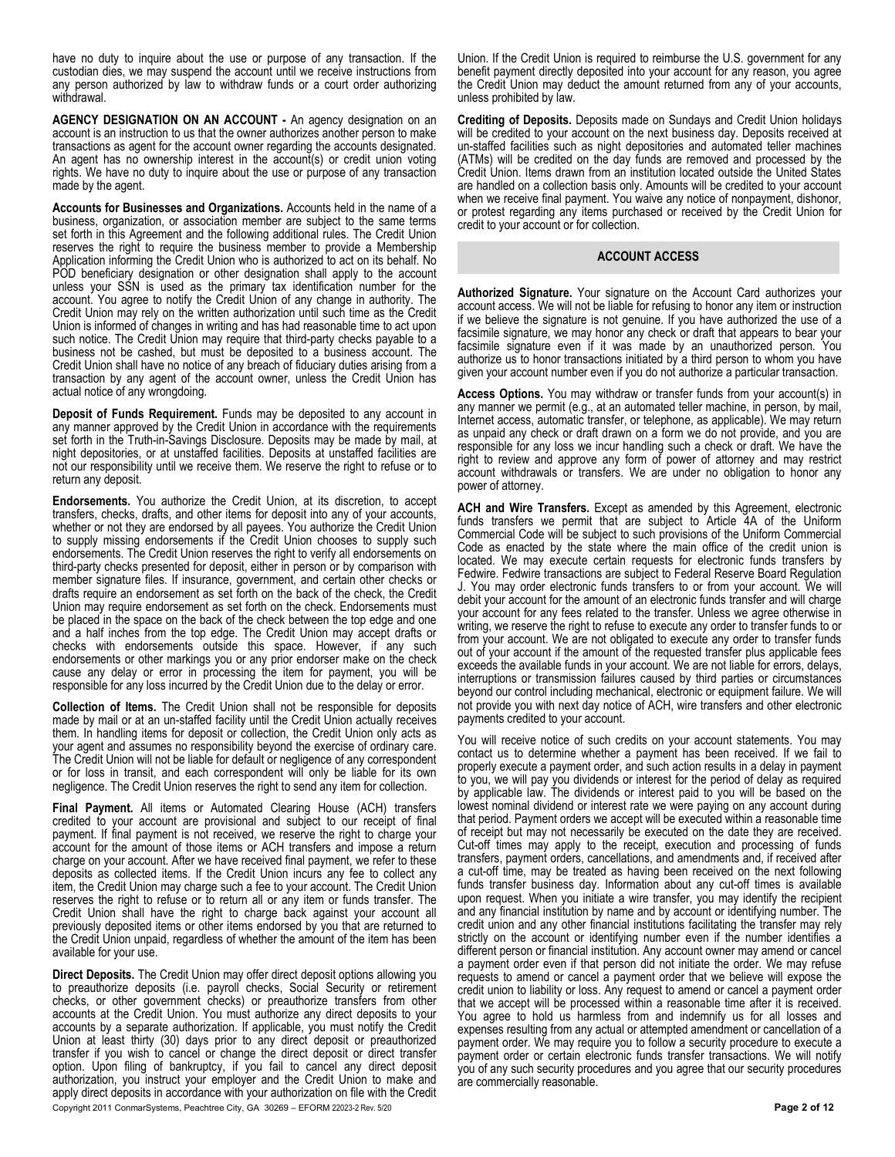have no duty to inquire about the use or purpose of any transaction. If the custodian dies, we may suspend the account until we receive instructions from any person authorized by law to withdraw funds or a court order authorizing withdrawal.

**AGENCY DESIGNATION ON AN ACCOUNT -** An agency designation on an account is an instruction to us that the owner authorizes another person to make transactions as agent for the account owner regarding the accounts designated. An agent has no ownership interest in the account(s) or credit union voting rights. We have no duty to inquire about the use or purpose of any transaction made by the agent.

**Accounts for Businesses and Organizations.** Accounts held in the name of a business, organization, or association member are subject to the same terms set forth in this Agreement and the following additional rules. The Credit Union reserves the right to require the business member to provide a Membership Application informing the Credit Union who is authorized to act on its behalf. No POD beneficiary designation or other designation shall apply to the account unless your SSN is used as the primary tax identification number for the account. You agree to notify the Credit Union of any change in authority. The Credit Union may rely on the written authorization until such time as the Credit Union is informed of changes in writing and has had reasonable time to act upon such notice. The Credit Union may require that third-party checks payable to a business not be cashed, but must be deposited to a business account. The Credit Union shall have no notice of any breach of fiduciary duties arising from a transaction by any agent of the account owner, unless the Credit Union has actual notice of any wrongdoing.

**Deposit of Funds Requirement.** Funds may be deposited to any account in any manner approved by the Credit Union in accordance with the requirements set forth in the Truth-in-Savings Disclosure. Deposits may be made by mail, at night depositories, or at unstaffed facilities. Deposits at unstaffed facilities are not our responsibility until we receive them. We reserve the right to refuse or to return any deposit.

**Endorsements.** You authorize the Credit Union, at its discretion, to accept transfers, checks, drafts, and other items for deposit into any of your accounts, whether or not they are endorsed by all payees. You authorize the Credit Union to supply missing endorsements if the Credit Union chooses to supply such endorsements. The Credit Union reserves the right to verify all endorsements on third-party checks presented for deposit, either in person or by comparison with member signature files. If insurance, government, and certain other checks or drafts require an endorsement as set forth on the back of the check, the Credit Union may require endorsement as set forth on the check. Endorsements must be placed in the space on the back of the check between the top edge and one and a half inches from the top edge. The Credit Union may accept drafts or checks with endorsements outside this space. However, if any such endorsements or other markings you or any prior endorser make on the check cause any delay or error in processing the item for payment, you will be responsible for any loss incurred by the Credit Union due to the delay or error.

**Collection of Items.** The Credit Union shall not be responsible for deposits made by mail or at an un-staffed facility until the Credit Union actually receives them. In handling items for deposit or collection, the Credit Union only acts as your agent and assumes no responsibility beyond the exercise of ordinary care. The Credit Union will not be liable for default or negligence of any correspondent or for loss in transit, and each correspondent will only be liable for its own negligence. The Credit Union reserves the right to send any item for collection.

**Final Payment.** All items or Automated Clearing House (ACH) transfers credited to your account are provisional and subject to our receipt of final payment. If final payment is not received, we reserve the right to charge your account for the amount of those items or ACH transfers and impose a return charge on your account. After we have received final payment, we refer to these deposits as collected items. If the Credit Union incurs any fee to collect any item, the Credit Union may charge such a fee to your account. The Credit Union reserves the right to refuse or to return all or any item or funds transfer. The Credit Union shall have the right to charge back against your account all previously deposited items or other items endorsed by you that are returned to the Credit Union unpaid, regardless of whether the amount of the item has been available for your use.

Copyright 2011 ConmarSystems, Peachtree City, GA 30269 – EFORM 22023-2 Rev. 5/20 **Page 2 of 12 Direct Deposits.** The Credit Union may offer direct deposit options allowing you to preauthorize deposits (i.e. payroll checks, Social Security or retirement checks, or other government checks) or preauthorize transfers from other accounts at the Credit Union. You must authorize any direct deposits to your accounts by a separate authorization. If applicable, you must notify the Credit Union at least thirty (30) days prior to any direct deposit or preauthorized transfer if you wish to cancel or change the direct deposit or direct transfer option. Upon filing of bankruptcy, if you fail to cancel any direct deposit authorization, you instruct your employer and the Credit Union to make and apply direct deposits in accordance with your authorization on file with the Credit

Union. If the Credit Union is required to reimburse the U.S. government for any benefit payment directly deposited into your account for any reason, you agree the Credit Union may deduct the amount returned from any of your accounts, unless prohibited by law.

**Crediting of Deposits.** Deposits made on Sundays and Credit Union holidays will be credited to your account on the next business day. Deposits received at un-staffed facilities such as night depositories and automated teller machines (ATMs) will be credited on the day funds are removed and processed by the Credit Union. Items drawn from an institution located outside the United States are handled on a collection basis only. Amounts will be credited to your account when we receive final payment. You waive any notice of nonpayment, dishonor, or protest regarding any items purchased or received by the Credit Union for credit to your account or for collection.

#### **ACCOUNT ACCESS**

**Authorized Signature.** Your signature on the Account Card authorizes your account access. We will not be liable for refusing to honor any item or instruction if we believe the signature is not genuine. If you have authorized the use of a facsimile signature, we may honor any check or draft that appears to bear your facsimile signature even if it was made by an unauthorized person. You authorize us to honor transactions initiated by a third person to whom you have given your account number even if you do not authorize a particular transaction.

**Access Options.** You may withdraw or transfer funds from your account(s) in any manner we permit (e.g., at an automated teller machine, in person, by mail, Internet access, automatic transfer, or telephone, as applicable). We may return as unpaid any check or draft drawn on a form we do not provide, and you are responsible for any loss we incur handling such a check or draft. We have the right to review and approve any form of power of attorney and may restrict account withdrawals or transfers. We are under no obligation to honor any power of attorney.

**ACH and Wire Transfers.** Except as amended by this Agreement, electronic funds transfers we permit that are subject to Article 4A of the Uniform Commercial Code will be subject to such provisions of the Uniform Commercial Code as enacted by the state where the main office of the credit union is located. We may execute certain requests for electronic funds transfers by Fedwire. Fedwire transactions are subject to Federal Reserve Board Regulation J. You may order electronic funds transfers to or from your account. We will debit your account for the amount of an electronic funds transfer and will charge your account for any fees related to the transfer. Unless we agree otherwise in writing, we reserve the right to refuse to execute any order to transfer funds to or from your account. We are not obligated to execute any order to transfer funds out of your account if the amount of the requested transfer plus applicable fees exceeds the available funds in your account. We are not liable for errors, delays, interruptions or transmission failures caused by third parties or circumstances beyond our control including mechanical, electronic or equipment failure. We will not provide you with next day notice of ACH, wire transfers and other electronic payments credited to your account.

You will receive notice of such credits on your account statements. You may contact us to determine whether a payment has been received. If we fail to properly execute a payment order, and such action results in a delay in payment to you, we will pay you dividends or interest for the period of delay as required by applicable law. The dividends or interest paid to you will be based on the lowest nominal dividend or interest rate we were paying on any account during that period. Payment orders we accept will be executed within a reasonable time of receipt but may not necessarily be executed on the date they are received. Cut-off times may apply to the receipt, execution and processing of funds transfers, payment orders, cancellations, and amendments and, if received after a cut-off time, may be treated as having been received on the next following funds transfer business day. Information about any cut-off times is available upon request. When you initiate a wire transfer, you may identify the recipient and any financial institution by name and by account or identifying number. The credit union and any other financial institutions facilitating the transfer may rely strictly on the account or identifying number even if the number identifies a different person or financial institution. Any account owner may amend or cancel a payment order even if that person did not initiate the order. We may refuse requests to amend or cancel a payment order that we believe will expose the credit union to liability or loss. Any request to amend or cancel a payment order that we accept will be processed within a reasonable time after it is received. You agree to hold us harmless from and indemnify us for all losses and expenses resulting from any actual or attempted amendment or cancellation of a payment order. We may require you to follow a security procedure to execute a payment order or certain electronic funds transfer transactions. We will notify you of any such security procedures and you agree that our security procedures are commercially reasonable.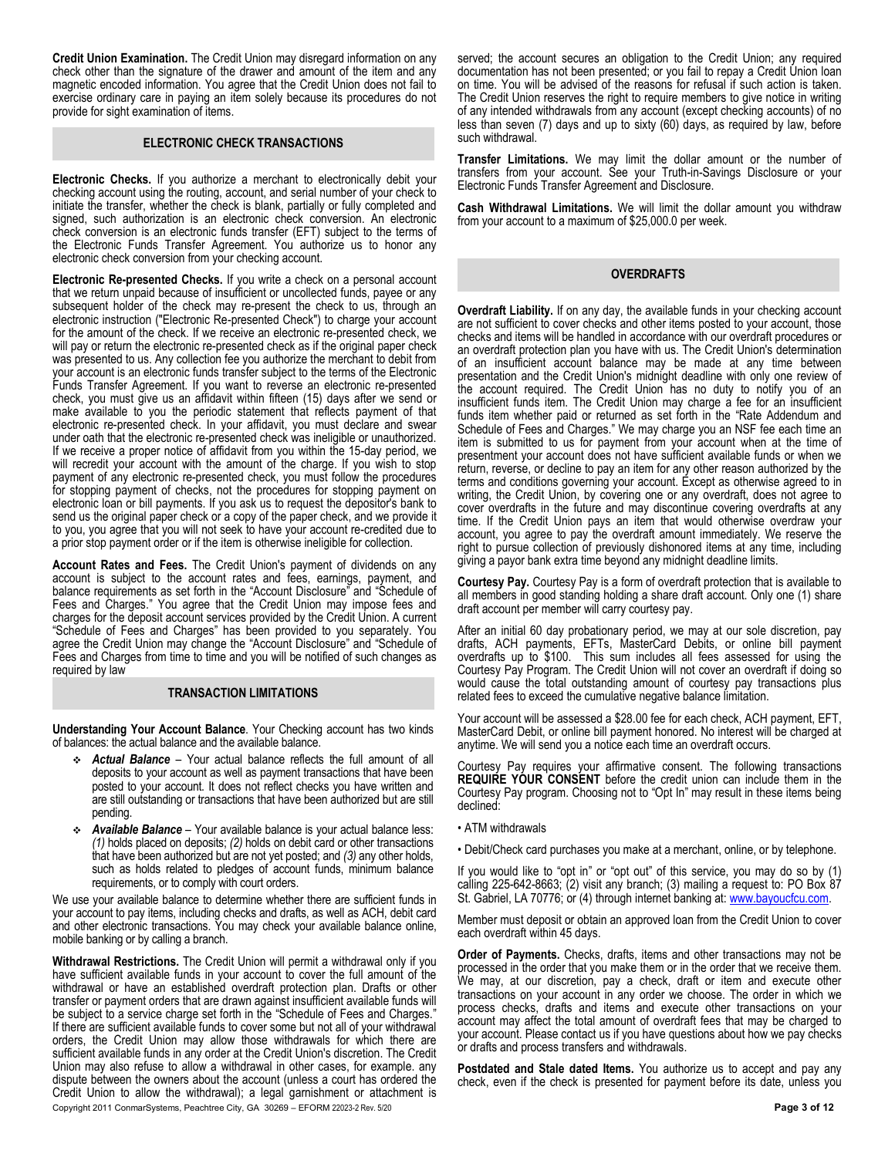**Credit Union Examination.** The Credit Union may disregard information on any check other than the signature of the drawer and amount of the item and any magnetic encoded information. You agree that the Credit Union does not fail to exercise ordinary care in paying an item solely because its procedures do not provide for sight examination of items.

#### **ELECTRONIC CHECK TRANSACTIONS**

**Electronic Checks.** If you authorize a merchant to electronically debit your checking account using the routing, account, and serial number of your check to initiate the transfer, whether the check is blank, partially or fully completed and signed, such authorization is an electronic check conversion. An electronic check conversion is an electronic funds transfer (EFT) subject to the terms of the Electronic Funds Transfer Agreement. You authorize us to honor any electronic check conversion from your checking account.

**Electronic Re-presented Checks.** If you write a check on a personal account that we return unpaid because of insufficient or uncollected funds, payee or any subsequent holder of the check may re-present the check to us, through an electronic instruction ("Electronic Re-presented Check") to charge your account for the amount of the check. If we receive an electronic re-presented check, we will pay or return the electronic re-presented check as if the original paper check was presented to us. Any collection fee you authorize the merchant to debit from your account is an electronic funds transfer subject to the terms of the Electronic Funds Transfer Agreement. If you want to reverse an electronic re-presented check, you must give us an affidavit within fifteen (15) days after we send or make available to you the periodic statement that reflects payment of that electronic re-presented check. In your affidavit, you must declare and swear under oath that the electronic re-presented check was ineligible or unauthorized. If we receive a proper notice of affidavit from you within the 15-day period, we will recredit your account with the amount of the charge. If you wish to stop payment of any electronic re-presented check, you must follow the procedures for stopping payment of checks, not the procedures for stopping payment on electronic loan or bill payments. If you ask us to request the depositor's bank to send us the original paper check or a copy of the paper check, and we provide it to you, you agree that you will not seek to have your account re-credited due to a prior stop payment order or if the item is otherwise ineligible for collection.

**Account Rates and Fees.** The Credit Union's payment of dividends on any account is subject to the account rates and fees, earnings, payment, and balance requirements as set forth in the "Account Disclosure" and "Schedule of Fees and Charges." You agree that the Credit Union may impose fees and charges for the deposit account services provided by the Credit Union. A current "Schedule of Fees and Charges" has been provided to you separately. You agree the Credit Union may change the "Account Disclosure" and "Schedule of Fees and Charges from time to time and you will be notified of such changes as required by law

#### **TRANSACTION LIMITATIONS**

**Understanding Your Account Balance**. Your Checking account has two kinds of balances: the actual balance and the available balance.

- *Actual Balance* Your actual balance reflects the full amount of all deposits to your account as well as payment transactions that have been posted to your account. It does not reflect checks you have written and are still outstanding or transactions that have been authorized but are still pending.
- *Available Balance* Your available balance is your actual balance less: *(1)* holds placed on deposits; *(2)* holds on debit card or other transactions that have been authorized but are not yet posted; and *(3)* any other holds, such as holds related to pledges of account funds, minimum balance requirements, or to comply with court orders.

We use your available balance to determine whether there are sufficient funds in your account to pay items, including checks and drafts, as well as ACH, debit card and other electronic transactions. You may check your available balance online, mobile banking or by calling a branch.

Copyright 2011 ConmarSystems, Peachtree City, GA 30269 – EFORM 22023-2 Rev. 5/20 **Page 3 of 12 Withdrawal Restrictions.** The Credit Union will permit a withdrawal only if you have sufficient available funds in your account to cover the full amount of the withdrawal or have an established overdraft protection plan. Drafts or other transfer or payment orders that are drawn against insufficient available funds will be subject to a service charge set forth in the "Schedule of Fees and Charges." If there are sufficient available funds to cover some but not all of your withdrawal orders, the Credit Union may allow those withdrawals for which there are sufficient available funds in any order at the Credit Union's discretion. The Credit Union may also refuse to allow a withdrawal in other cases, for example. any dispute between the owners about the account (unless a court has ordered the Credit Union to allow the withdrawal); a legal garnishment or attachment is

served; the account secures an obligation to the Credit Union; any required documentation has not been presented; or you fail to repay a Credit Union loan on time. You will be advised of the reasons for refusal if such action is taken. The Credit Union reserves the right to require members to give notice in writing of any intended withdrawals from any account (except checking accounts) of no less than seven (7) days and up to sixty (60) days, as required by law, before such withdrawal.

**Transfer Limitations.** We may limit the dollar amount or the number of transfers from your account. See your Truth-in-Savings Disclosure or your Electronic Funds Transfer Agreement and Disclosure.

**Cash Withdrawal Limitations.** We will limit the dollar amount you withdraw from your account to a maximum of \$25,000.0 per week.

#### **OVERDRAFTS**

**Overdraft Liability.** If on any day, the available funds in your checking account are not sufficient to cover checks and other items posted to your account, those checks and items will be handled in accordance with our overdraft procedures or an overdraft protection plan you have with us. The Credit Union's determination of an insufficient account balance may be made at any time between presentation and the Credit Union's midnight deadline with only one review of the account required. The Credit Union has no duty to notify you of an insufficient funds item. The Credit Union may charge a fee for an insufficient funds item whether paid or returned as set forth in the "Rate Addendum and Schedule of Fees and Charges." We may charge you an NSF fee each time an item is submitted to us for payment from your account when at the time of presentment your account does not have sufficient available funds or when we return, reverse, or decline to pay an item for any other reason authorized by the terms and conditions governing your account. Except as otherwise agreed to in writing, the Credit Union, by covering one or any overdraft, does not agree to cover overdrafts in the future and may discontinue covering overdrafts at any time. If the Credit Union pays an item that would otherwise overdraw your account, you agree to pay the overdraft amount immediately. We reserve the right to pursue collection of previously dishonored items at any time, including giving a payor bank extra time beyond any midnight deadline limits.

**Courtesy Pay.** Courtesy Pay is a form of overdraft protection that is available to all members in good standing holding a share draft account. Only one (1) share draft account per member will carry courtesy pay.

After an initial 60 day probationary period, we may at our sole discretion, pay drafts, ACH payments, EFTs, MasterCard Debits, or online bill payment overdrafts up to \$100. This sum includes all fees assessed for using the Courtesy Pay Program. The Credit Union will not cover an overdraft if doing so would cause the total outstanding amount of courtesy pay transactions plus related fees to exceed the cumulative negative balance limitation.

Your account will be assessed a \$28.00 fee for each check, ACH payment, EFT, MasterCard Debit, or online bill payment honored. No interest will be charged at anytime. We will send you a notice each time an overdraft occurs.

Courtesy Pay requires your affirmative consent. The following transactions **REQUIRE YOUR CONSENT** before the credit union can include them in the Courtesy Pay program. Choosing not to "Opt In" may result in these items being declined:

- ATM withdrawals
- Debit/Check card purchases you make at a merchant, online, or by telephone.

If you would like to "opt in" or "opt out" of this service, you may do so by (1) calling 225-642-8663; (2) visit any branch; (3) mailing a request to: PO Box 87 St. Gabriel, LA 70776; or (4) through internet banking at[: www.bayoucfcu.com.](http://www.bayoucfcu.com/)

Member must deposit or obtain an approved loan from the Credit Union to cover each overdraft within 45 days.

**Order of Payments.** Checks, drafts, items and other transactions may not be processed in the order that you make them or in the order that we receive them. We may, at our discretion, pay a check, draft or item and execute other transactions on your account in any order we choose. The order in which we process checks, drafts and items and execute other transactions on your account may affect the total amount of overdraft fees that may be charged to your account. Please contact us if you have questions about how we pay checks or drafts and process transfers and withdrawals.

**Postdated and Stale dated Items.** You authorize us to accept and pay any check, even if the check is presented for payment before its date, unless you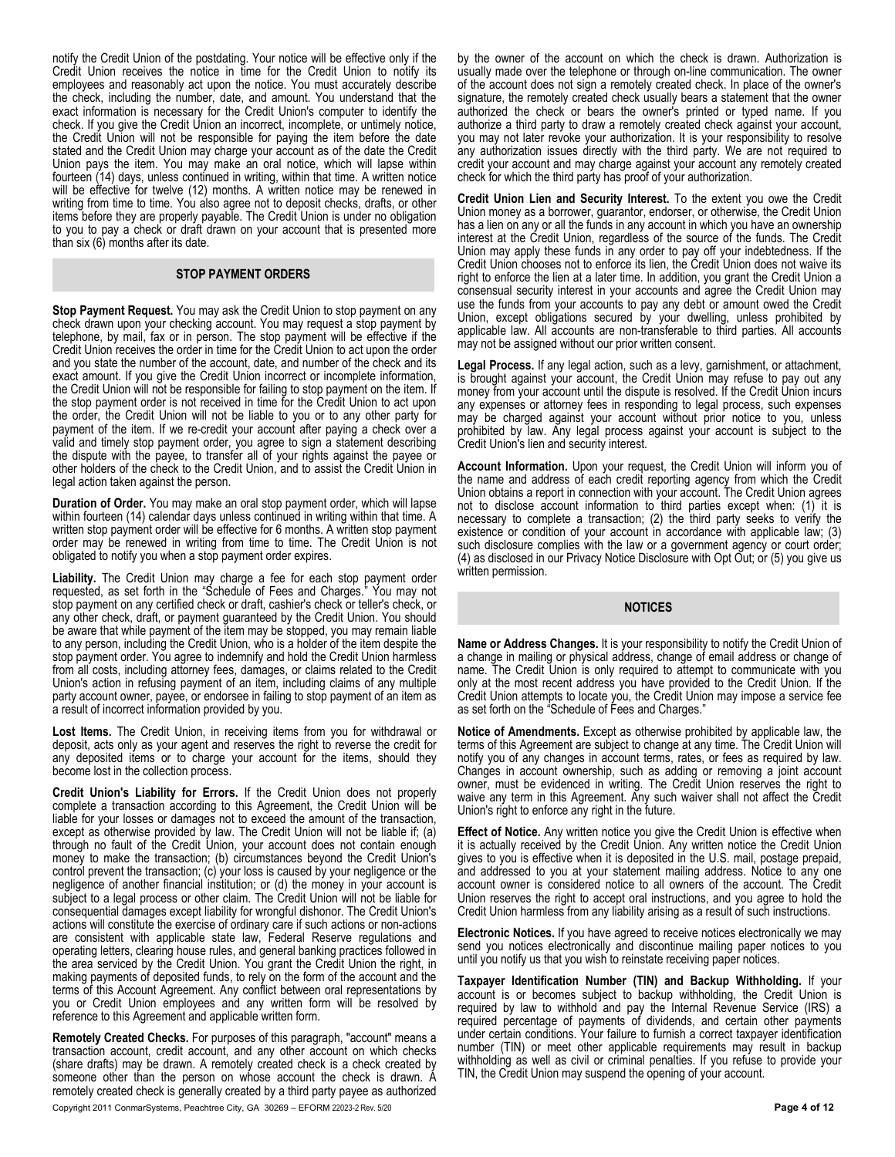notify the Credit Union of the postdating. Your notice will be effective only if the Credit Union receives the notice in time for the Credit Union to notify its employees and reasonably act upon the notice. You must accurately describe the check, including the number, date, and amount. You understand that the exact information is necessary for the Credit Union's computer to identify the check. If you give the Credit Union an incorrect, incomplete, or untimely notice, the Credit Union will not be responsible for paying the item before the date stated and the Credit Union may charge your account as of the date the Credit Union pays the item. You may make an oral notice, which will lapse within fourteen (14) days, unless continued in writing, within that time. A written notice will be effective for twelve (12) months. A written notice may be renewed in writing from time to time. You also agree not to deposit checks, drafts, or other items before they are properly payable. The Credit Union is under no obligation to you to pay a check or draft drawn on your account that is presented more than six (6) months after its date.

#### **STOP PAYMENT ORDERS**

**Stop Payment Request.** You may ask the Credit Union to stop payment on any check drawn upon your checking account. You may request a stop payment by telephone, by mail, fax or in person. The stop payment will be effective if the Credit Union receives the order in time for the Credit Union to act upon the order and you state the number of the account, date, and number of the check and its exact amount. If you give the Credit Union incorrect or incomplete information, the Credit Union will not be responsible for failing to stop payment on the item. If the stop payment order is not received in time for the Credit Union to act upon the order, the Credit Union will not be liable to you or to any other party for payment of the item. If we re-credit your account after paying a check over a valid and timely stop payment order, you agree to sign a statement describing the dispute with the payee, to transfer all of your rights against the payee or other holders of the check to the Credit Union, and to assist the Credit Union in legal action taken against the person.

**Duration of Order.** You may make an oral stop payment order, which will lapse within fourteen (14) calendar days unless continued in writing within that time. A written stop payment order will be effective for 6 months. A written stop payment order may be renewed in writing from time to time. The Credit Union is not obligated to notify you when a stop payment order expires.

**Liability.** The Credit Union may charge a fee for each stop payment order requested, as set forth in the "Schedule of Fees and Charges." You may not stop payment on any certified check or draft, cashier's check or teller's check, or any other check, draft, or payment guaranteed by the Credit Union. You should be aware that while payment of the item may be stopped, you may remain liable to any person, including the Credit Union, who is a holder of the item despite the stop payment order. You agree to indemnify and hold the Credit Union harmless from all costs, including attorney fees, damages, or claims related to the Credit Union's action in refusing payment of an item, including claims of any multiple party account owner, payee, or endorsee in failing to stop payment of an item as a result of incorrect information provided by you.

**Lost Items.** The Credit Union, in receiving items from you for withdrawal or deposit, acts only as your agent and reserves the right to reverse the credit for any deposited items or to charge your account for the items, should they become lost in the collection process.

**Credit Union's Liability for Errors.** If the Credit Union does not properly complete a transaction according to this Agreement, the Credit Union will be liable for your losses or damages not to exceed the amount of the transaction, except as otherwise provided by law. The Credit Union will not be liable if; (a) through no fault of the Credit Union, your account does not contain enough money to make the transaction; (b) circumstances beyond the Credit Union's control prevent the transaction; (c) your loss is caused by your negligence or the negligence of another financial institution; or (d) the money in your account is subject to a legal process or other claim. The Credit Union will not be liable for consequential damages except liability for wrongful dishonor. The Credit Union's actions will constitute the exercise of ordinary care if such actions or non-actions are consistent with applicable state law, Federal Reserve regulations and operating letters, clearing house rules, and general banking practices followed in the area serviced by the Credit Union. You grant the Credit Union the right, in making payments of deposited funds, to rely on the form of the account and the terms of this Account Agreement. Any conflict between oral representations by you or Credit Union employees and any written form will be resolved by reference to this Agreement and applicable written form.

**Remotely Created Checks.** For purposes of this paragraph, "account" means a transaction account, credit account, and any other account on which checks (share drafts) may be drawn. A remotely created check is a check created by someone other than the person on whose account the check is drawn. A remotely created check is generally created by a third party payee as authorized

Copyright 2011 ConmarSystems, Peachtree City, GA 30269 – EFORM 22023-2 Rev. 5/20 **Page 4 of 12**

by the owner of the account on which the check is drawn. Authorization is usually made over the telephone or through on-line communication. The owner of the account does not sign a remotely created check. In place of the owner's signature, the remotely created check usually bears a statement that the owner authorized the check or bears the owner's printed or typed name. If you authorize a third party to draw a remotely created check against your account, you may not later revoke your authorization. It is your responsibility to resolve any authorization issues directly with the third party. We are not required to credit your account and may charge against your account any remotely created check for which the third party has proof of your authorization.

**Credit Union Lien and Security Interest.** To the extent you owe the Credit Union money as a borrower, guarantor, endorser, or otherwise, the Credit Union has a lien on any or all the funds in any account in which you have an ownership interest at the Credit Union, regardless of the source of the funds. The Credit Union may apply these funds in any order to pay off your indebtedness. If the Credit Union chooses not to enforce its lien, the Credit Union does not waive its right to enforce the lien at a later time. In addition, you grant the Credit Union a consensual security interest in your accounts and agree the Credit Union may use the funds from your accounts to pay any debt or amount owed the Credit Union, except obligations secured by your dwelling, unless prohibited by applicable law. All accounts are non-transferable to third parties. All accounts may not be assigned without our prior written consent.

**Legal Process.** If any legal action, such as a levy, garnishment, or attachment, is brought against your account, the Credit Union may refuse to pay out any money from your account until the dispute is resolved. If the Credit Union incurs any expenses or attorney fees in responding to legal process, such expenses may be charged against your account without prior notice to you, unless prohibited by law. Any legal process against your account is subject to the Credit Union's lien and security interest.

**Account Information.** Upon your request, the Credit Union will inform you of the name and address of each credit reporting agency from which the Credit Union obtains a report in connection with your account. The Credit Union agrees not to disclose account information to third parties except when: (1) it is necessary to complete a transaction; (2) the third party seeks to verify the existence or condition of your account in accordance with applicable law; (3) such disclosure complies with the law or a government agency or court order; (4) as disclosed in our Privacy Notice Disclosure with Opt Out; or (5) you give us written permission.

#### **NOTICES**

**Name or Address Changes.** It is your responsibility to notify the Credit Union of a change in mailing or physical address, change of email address or change of name. The Credit Union is only required to attempt to communicate with you only at the most recent address you have provided to the Credit Union. If the Credit Union attempts to locate you, the Credit Union may impose a service fee as set forth on the "Schedule of Fees and Charges."

**Notice of Amendments.** Except as otherwise prohibited by applicable law, the terms of this Agreement are subject to change at any time. The Credit Union will notify you of any changes in account terms, rates, or fees as required by law. Changes in account ownership, such as adding or removing a joint account owner, must be evidenced in writing. The Credit Union reserves the right to waive any term in this Agreement. Any such waiver shall not affect the Credit Union's right to enforce any right in the future.

**Effect of Notice.** Any written notice you give the Credit Union is effective when it is actually received by the Credit Union. Any written notice the Credit Union gives to you is effective when it is deposited in the U.S. mail, postage prepaid, and addressed to you at your statement mailing address. Notice to any one account owner is considered notice to all owners of the account. The Credit Union reserves the right to accept oral instructions, and you agree to hold the Credit Union harmless from any liability arising as a result of such instructions.

**Electronic Notices.** If you have agreed to receive notices electronically we may send you notices electronically and discontinue mailing paper notices to you until you notify us that you wish to reinstate receiving paper notices.

**Taxpayer Identification Number (TIN) and Backup Withholding.** If your account is or becomes subject to backup withholding, the Credit Union is required by law to withhold and pay the Internal Revenue Service (IRS) a required percentage of payments of dividends, and certain other payments under certain conditions. Your failure to furnish a correct taxpayer identification number (TIN) or meet other applicable requirements may result in backup withholding as well as civil or criminal penalties. If you refuse to provide your TIN, the Credit Union may suspend the opening of your account.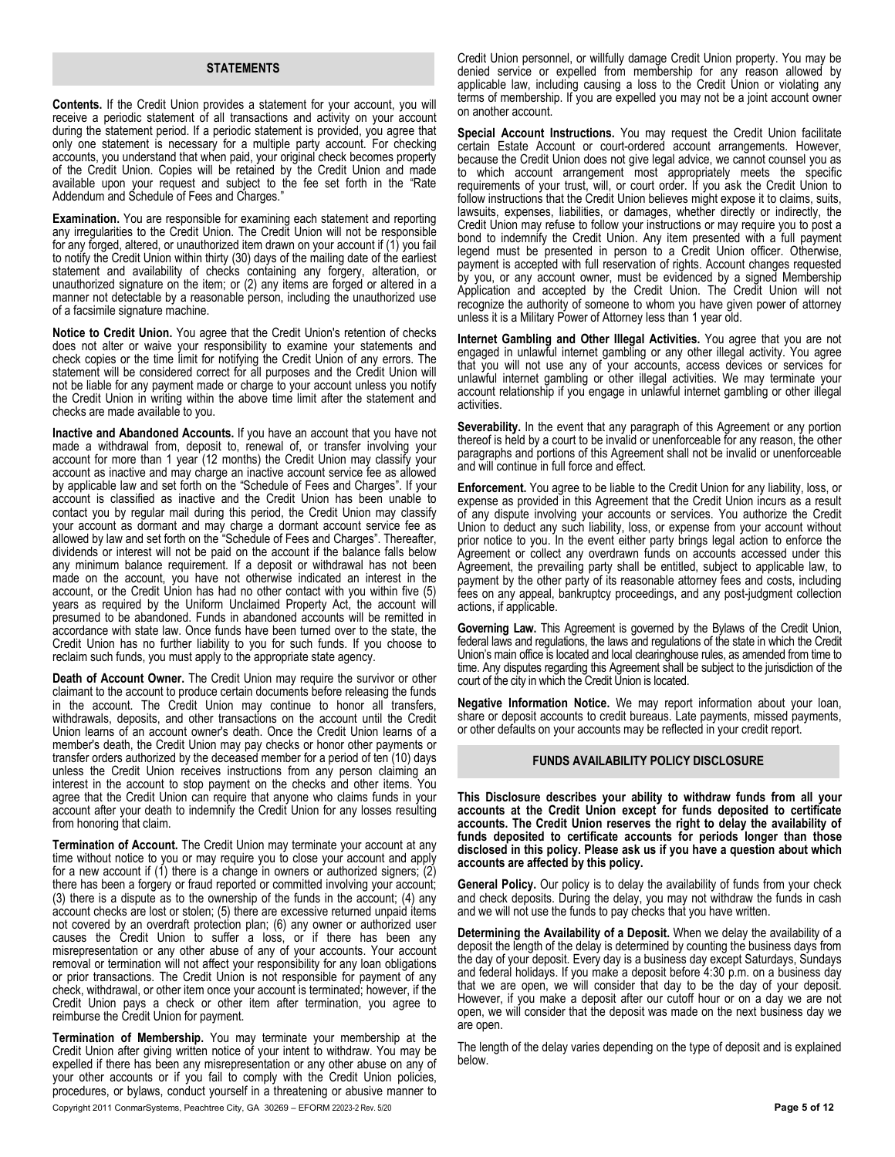#### **STATEMENTS**

**Contents.** If the Credit Union provides a statement for your account, you will receive a periodic statement of all transactions and activity on your account during the statement period. If a periodic statement is provided, you agree that only one statement is necessary for a multiple party account. For checking accounts, you understand that when paid, your original check becomes property of the Credit Union. Copies will be retained by the Credit Union and made available upon your request and subject to the fee set forth in the "Rate Addendum and Schedule of Fees and Charges."

**Examination.** You are responsible for examining each statement and reporting any irregularities to the Credit Union. The Credit Union will not be responsible for any forged, altered, or unauthorized item drawn on your account if (1) you fail to notify the Credit Union within thirty (30) days of the mailing date of the earliest statement and availability of checks containing any forgery, alteration, or unauthorized signature on the item; or (2) any items are forged or altered in a manner not detectable by a reasonable person, including the unauthorized use of a facsimile signature machine.

**Notice to Credit Union.** You agree that the Credit Union's retention of checks does not alter or waive your responsibility to examine your statements and check copies or the time limit for notifying the Credit Union of any errors. The statement will be considered correct for all purposes and the Credit Union will not be liable for any payment made or charge to your account unless you notify the Credit Union in writing within the above time limit after the statement and checks are made available to you.

**Inactive and Abandoned Accounts.** If you have an account that you have not made a withdrawal from, deposit to, renewal of, or transfer involving your account for more than 1 year (12 months) the Credit Union may classify your account as inactive and may charge an inactive account service fee as allowed by applicable law and set forth on the "Schedule of Fees and Charges". If your account is classified as inactive and the Credit Union has been unable to contact you by regular mail during this period, the Credit Union may classify your account as dormant and may charge a dormant account service fee as allowed by law and set forth on the "Schedule of Fees and Charges". Thereafter, dividends or interest will not be paid on the account if the balance falls below any minimum balance requirement. If a deposit or withdrawal has not been made on the account, you have not otherwise indicated an interest in the account, or the Credit Union has had no other contact with you within five (5) years as required by the Uniform Unclaimed Property Act, the account will presumed to be abandoned. Funds in abandoned accounts will be remitted in accordance with state law. Once funds have been turned over to the state, the Credit Union has no further liability to you for such funds. If you choose to reclaim such funds, you must apply to the appropriate state agency.

**Death of Account Owner.** The Credit Union may require the survivor or other claimant to the account to produce certain documents before releasing the funds in the account. The Credit Union may continue to honor all transfers, withdrawals, deposits, and other transactions on the account until the Credit Union learns of an account owner's death. Once the Credit Union learns of a member's death, the Credit Union may pay checks or honor other payments or transfer orders authorized by the deceased member for a period of ten (10) days unless the Credit Union receives instructions from any person claiming an interest in the account to stop payment on the checks and other items. You agree that the Credit Union can require that anyone who claims funds in your account after your death to indemnify the Credit Union for any losses resulting from honoring that claim.

**Termination of Account.** The Credit Union may terminate your account at any time without notice to you or may require you to close your account and apply for a new account if  $(1)$  there is a change in owners or authorized signers;  $(2)$ there has been a forgery or fraud reported or committed involving your account; (3) there is a dispute as to the ownership of the funds in the account; (4) any account checks are lost or stolen; (5) there are excessive returned unpaid items not covered by an overdraft protection plan; (6) any owner or authorized user causes the Credit Union to suffer a loss, or if there has been any misrepresentation or any other abuse of any of your accounts. Your account removal or termination will not affect your responsibility for any loan obligations or prior transactions. The Credit Union is not responsible for payment of any check, withdrawal, or other item once your account is terminated; however, if the Credit Union pays a check or other item after termination, you agree to reimburse the Credit Union for payment.

**Termination of Membership.** You may terminate your membership at the Credit Union after giving written notice of your intent to withdraw. You may be expelled if there has been any misrepresentation or any other abuse on any of your other accounts or if you fail to comply with the Credit Union policies, procedures, or bylaws, conduct yourself in a threatening or abusive manner to

Copyright 2011 ConmarSystems, Peachtree City, GA 30269 – EFORM 22023-2 Rev. 5/20 **Page 5 of 12**

Credit Union personnel, or willfully damage Credit Union property. You may be denied service or expelled from membership for any reason allowed by applicable law, including causing a loss to the Credit Union or violating any terms of membership. If you are expelled you may not be a joint account owner on another account.

**Special Account Instructions.** You may request the Credit Union facilitate certain Estate Account or court-ordered account arrangements. However, because the Credit Union does not give legal advice, we cannot counsel you as to which account arrangement most appropriately meets the specific requirements of your trust, will, or court order. If you ask the Credit Union to follow instructions that the Credit Union believes might expose it to claims, suits, lawsuits, expenses, liabilities, or damages, whether directly or indirectly, the Credit Union may refuse to follow your instructions or may require you to post a bond to indemnify the Credit Union. Any item presented with a full payment legend must be presented in person to a Credit Union officer. Otherwise, payment is accepted with full reservation of rights. Account changes requested by you, or any account owner, must be evidenced by a signed Membership Application and accepted by the Credit Union. The Credit Union will not recognize the authority of someone to whom you have given power of attorney unless it is a Military Power of Attorney less than 1 year old.

**Internet Gambling and Other Illegal Activities.** You agree that you are not engaged in unlawful internet gambling or any other illegal activity. You agree that you will not use any of your accounts, access devices or services for unlawful internet gambling or other illegal activities. We may terminate your account relationship if you engage in unlawful internet gambling or other illegal activities.

**Severability.** In the event that any paragraph of this Agreement or any portion thereof is held by a court to be invalid or unenforceable for any reason, the other paragraphs and portions of this Agreement shall not be invalid or unenforceable and will continue in full force and effect.

**Enforcement.** You agree to be liable to the Credit Union for any liability, loss, or expense as provided in this Agreement that the Credit Union incurs as a result of any dispute involving your accounts or services. You authorize the Credit Union to deduct any such liability, loss, or expense from your account without prior notice to you. In the event either party brings legal action to enforce the Agreement or collect any overdrawn funds on accounts accessed under this Agreement, the prevailing party shall be entitled, subject to applicable law, to payment by the other party of its reasonable attorney fees and costs, including fees on any appeal, bankruptcy proceedings, and any post-judgment collection actions, if applicable.

**Governing Law.** This Agreement is governed by the Bylaws of the Credit Union, federal laws and regulations, the laws and regulations of the state in which the Credit Union's main office is located and local clearinghouse rules, as amended from time to time. Any disputes regarding this Agreement shall be subject to the jurisdiction of the court of the city in which the Credit Union is located.

**Negative Information Notice.** We may report information about your loan, share or deposit accounts to credit bureaus. Late payments, missed payments, or other defaults on your accounts may be reflected in your credit report.

#### **FUNDS AVAILABILITY POLICY DISCLOSURE**

**This Disclosure describes your ability to withdraw funds from all your accounts at the Credit Union except for funds deposited to certificate accounts. The Credit Union reserves the right to delay the availability of funds deposited to certificate accounts for periods longer than those disclosed in this policy. Please ask us if you have a question about which accounts are affected by this policy.**

**General Policy.** Our policy is to delay the availability of funds from your check and check deposits. During the delay, you may not withdraw the funds in cash and we will not use the funds to pay checks that you have written.

**Determining the Availability of a Deposit.** When we delay the availability of a deposit the length of the delay is determined by counting the business days from the day of your deposit. Every day is a business day except Saturdays, Sundays and federal holidays. If you make a deposit before 4:30 p.m. on a business day that we are open, we will consider that day to be the day of your deposit. However, if you make a deposit after our cutoff hour or on a day we are not open, we will consider that the deposit was made on the next business day we are open.

The length of the delay varies depending on the type of deposit and is explained below.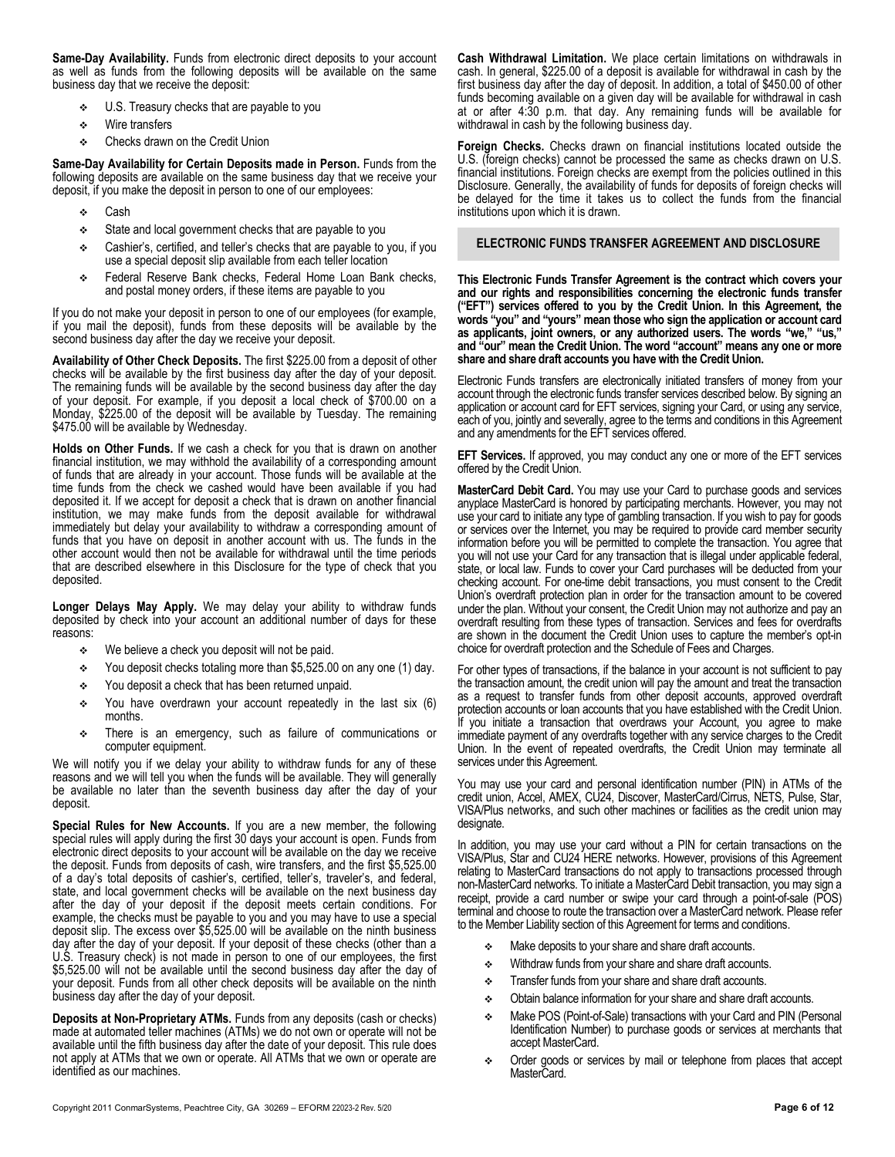**Same-Day Availability.** Funds from electronic direct deposits to your account as well as funds from the following deposits will be available on the same business day that we receive the deposit:

- U.S. Treasury checks that are payable to you
- **❖** Wire transfers
- **EXECT** Checks drawn on the Credit Union

**Same-Day Availability for Certain Deposits made in Person.** Funds from the following deposits are available on the same business day that we receive your deposit, if you make the deposit in person to one of our employees:

- Cash
- State and local government checks that are payable to you
- Cashier's, certified, and teller's checks that are payable to you, if you use a special deposit slip available from each teller location
- Federal Reserve Bank checks, Federal Home Loan Bank checks, and postal money orders, if these items are payable to you

If you do not make your deposit in person to one of our employees (for example, if you mail the deposit), funds from these deposits will be available by the second business day after the day we receive your deposit.

**Availability of Other Check Deposits.** The first \$225.00 from a deposit of other checks will be available by the first business day after the day of your deposit. The remaining funds will be available by the second business day after the day of your deposit. For example, if you deposit a local check of \$700.00 on a Monday, \$225.00 of the deposit will be available by Tuesday. The remaining \$475.00 will be available by Wednesday.

**Holds on Other Funds.** If we cash a check for you that is drawn on another financial institution, we may withhold the availability of a corresponding amount of funds that are already in your account. Those funds will be available at the time funds from the check we cashed would have been available if you had deposited it. If we accept for deposit a check that is drawn on another financial institution, we may make funds from the deposit available for withdrawal immediately but delay your availability to withdraw a corresponding amount of funds that you have on deposit in another account with us. The funds in the other account would then not be available for withdrawal until the time periods that are described elsewhere in this Disclosure for the type of check that you deposited.

**Longer Delays May Apply.** We may delay your ability to withdraw funds deposited by check into your account an additional number of days for these reasons:

- We believe a check you deposit will not be paid.
- You deposit checks totaling more than \$5,525.00 on any one (1) day.
- You deposit a check that has been returned unpaid.
- You have overdrawn your account repeatedly in the last six (6) months.
- There is an emergency, such as failure of communications or computer equipment.

We will notify you if we delay your ability to withdraw funds for any of these reasons and we will tell you when the funds will be available. They will generally be available no later than the seventh business day after the day of your deposit.

**Special Rules for New Accounts.** If you are a new member, the following special rules will apply during the first 30 days your account is open. Funds from electronic direct deposits to your account will be available on the day we receive the deposit. Funds from deposits of cash, wire transfers, and the first \$5,525.00 of a day's total deposits of cashier's, certified, teller's, traveler's, and federal, state, and local government checks will be available on the next business day after the day of your deposit if the deposit meets certain conditions. For example, the checks must be payable to you and you may have to use a special deposit slip. The excess over \$5,525.00 will be available on the ninth business day after the day of your deposit. If your deposit of these checks (other than a U.S. Treasury check) is not made in person to one of our employees, the first \$5,525.00 will not be available until the second business day after the day of your deposit. Funds from all other check deposits will be available on the ninth business day after the day of your deposit.

**Deposits at Non-Proprietary ATMs.** Funds from any deposits (cash or checks) made at automated teller machines (ATMs) we do not own or operate will not be available until the fifth business day after the date of your deposit. This rule does not apply at ATMs that we own or operate. All ATMs that we own or operate are identified as our machines.

**Cash Withdrawal Limitation.** We place certain limitations on withdrawals in cash. In general, \$225.00 of a deposit is available for withdrawal in cash by the first business day after the day of deposit. In addition, a total of \$450.00 of other funds becoming available on a given day will be available for withdrawal in cash at or after 4:30 p.m. that day. Any remaining funds will be available for withdrawal in cash by the following business day.

**Foreign Checks.** Checks drawn on financial institutions located outside the U.S. (foreign checks) cannot be processed the same as checks drawn on U.S. financial institutions. Foreign checks are exempt from the policies outlined in this Disclosure. Generally, the availability of funds for deposits of foreign checks will be delayed for the time it takes us to collect the funds from the financial institutions upon which it is drawn.

#### **ELECTRONIC FUNDS TRANSFER AGREEMENT AND DISCLOSURE**

**This Electronic Funds Transfer Agreement is the contract which covers your and our rights and responsibilities concerning the electronic funds transfer ("EFT") services offered to you by the Credit Union. In this Agreement, the words "you" and "yours" mean those who sign the application or account card as applicants, joint owners, or any authorized users. The words "we," "us," and "our" mean the Credit Union. The word "account" means any one or more share and share draft accounts you have with the Credit Union.**

Electronic Funds transfers are electronically initiated transfers of money from your account through the electronic funds transfer services described below. By signing an application or account card for EFT services, signing your Card, or using any service, each of you, jointly and severally, agree to the terms and conditions in this Agreement and any amendments for the EFT services offered.

**EFT Services.** If approved, you may conduct any one or more of the EFT services offered by the Credit Union.

**MasterCard Debit Card.** You may use your Card to purchase goods and services anyplace MasterCard is honored by participating merchants. However, you may not use your card to initiate any type of gambling transaction. If you wish to pay for goods or services over the Internet, you may be required to provide card member security information before you will be permitted to complete the transaction. You agree that you will not use your Card for any transaction that is illegal under applicable federal, state, or local law. Funds to cover your Card purchases will be deducted from your checking account. For one-time debit transactions, you must consent to the Credit Union's overdraft protection plan in order for the transaction amount to be covered under the plan. Without your consent, the Credit Union may not authorize and pay an overdraft resulting from these types of transaction. Services and fees for overdrafts are shown in the document the Credit Union uses to capture the member's opt-in choice for overdraft protection and the Schedule of Fees and Charges.

For other types of transactions, if the balance in your account is not sufficient to pay the transaction amount, the credit union will pay the amount and treat the transaction as a request to transfer funds from other deposit accounts, approved overdraft protection accounts or loan accounts that you have established with the Credit Union. If you initiate a transaction that overdraws your Account, you agree to make immediate payment of any overdrafts together with any service charges to the Credit Union. In the event of repeated overdrafts, the Credit Union may terminate all services under this Agreement.

You may use your card and personal identification number (PIN) in ATMs of the credit union, Accel, AMEX, CU24, Discover, MasterCard/Cirrus, NETS, Pulse, Star, VISA/Plus networks, and such other machines or facilities as the credit union may designate.

In addition, you may use your card without a PIN for certain transactions on the VISA/Plus, Star and CU24 HERE networks. However, provisions of this Agreement relating to MasterCard transactions do not apply to transactions processed through non-MasterCard networks. To initiate a MasterCard Debit transaction, you may sign a receipt, provide a card number or swipe your card through a point-of-sale (POS) terminal and choose to route the transaction over a MasterCard network. Please refer to the Member Liability section of this Agreement for terms and conditions.

- Make deposits to your share and share draft accounts.
- ❖ Withdraw funds from your share and share draft accounts.
- $\div$  Transfer funds from your share and share draft accounts.
- Obtain balance information for your share and share draft accounts.
- Make POS (Point-of-Sale) transactions with your Card and PIN (Personal Identification Number) to purchase goods or services at merchants that accept MasterCard.
- Order goods or services by mail or telephone from places that accept MasterCard.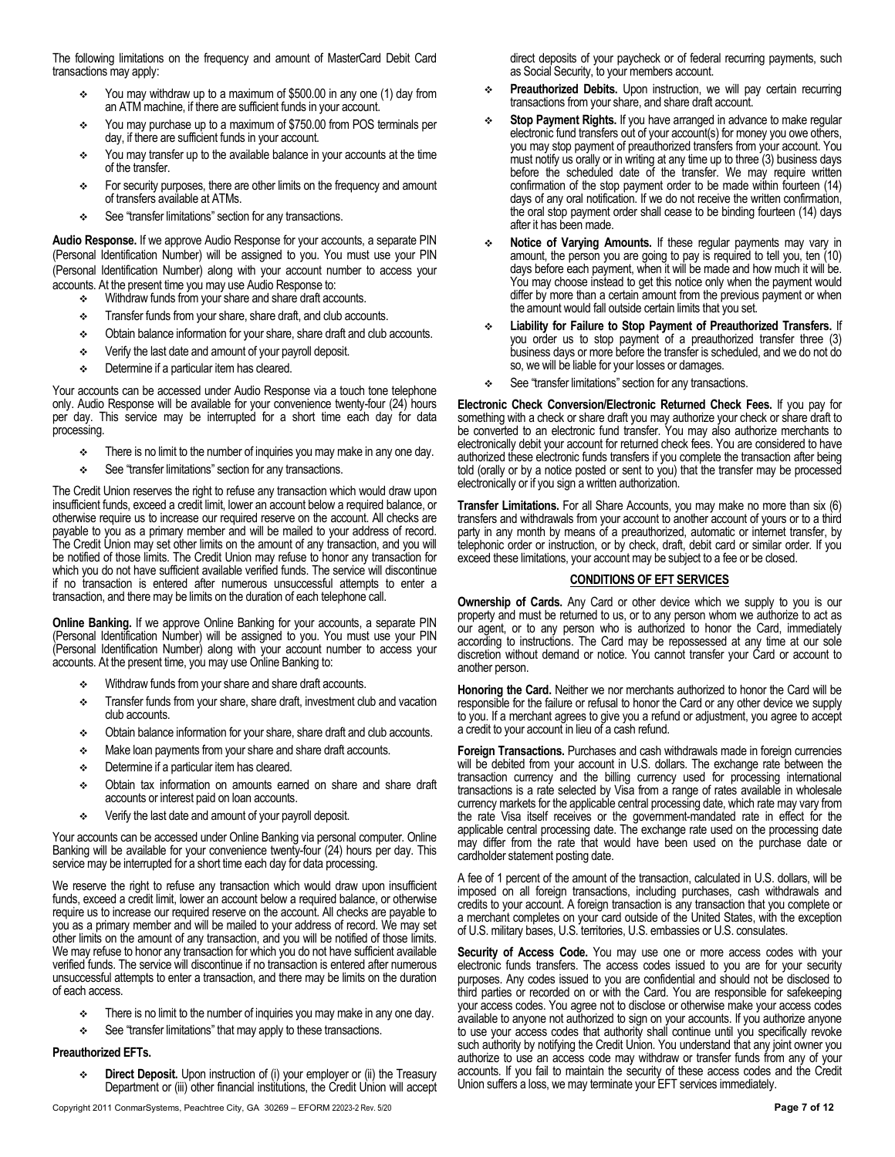The following limitations on the frequency and amount of MasterCard Debit Card transactions may apply:

- You may withdraw up to a maximum of \$500.00 in any one (1) day from an ATM machine, if there are sufficient funds in your account.
- You may purchase up to a maximum of \$750.00 from POS terminals per day, if there are sufficient funds in your account.
- \* You may transfer up to the available balance in your accounts at the time of the transfer.
- For security purposes, there are other limits on the frequency and amount of transfers available at ATMs.
- See "transfer limitations" section for any transactions.

**Audio Response.** If we approve Audio Response for your accounts, a separate PIN (Personal Identification Number) will be assigned to you. You must use your PIN (Personal Identification Number) along with your account number to access your accounts. At the present time you may use Audio Response to:

- **Withdraw funds from your share and share draft accounts.**
- $\div$  Transfer funds from your share, share draft, and club accounts.
- $\div$  Obtain balance information for your share, share draft and club accounts.
- Verify the last date and amount of your payroll deposit.
- Determine if a particular item has cleared.

Your accounts can be accessed under Audio Response via a touch tone telephone only. Audio Response will be available for your convenience twenty-four (24) hours per day. This service may be interrupted for a short time each day for data processing.

- $\div$  There is no limit to the number of inquiries you may make in any one day.
- See "transfer limitations" section for any transactions.

The Credit Union reserves the right to refuse any transaction which would draw upon insufficient funds, exceed a credit limit, lower an account below a required balance, or otherwise require us to increase our required reserve on the account. All checks are payable to you as a primary member and will be mailed to your address of record. The Credit Union may set other limits on the amount of any transaction, and you will be notified of those limits. The Credit Union may refuse to honor any transaction for which you do not have sufficient available verified funds. The service will discontinue if no transaction is entered after numerous unsuccessful attempts to enter a transaction, and there may be limits on the duration of each telephone call.

**Online Banking.** If we approve Online Banking for your accounts, a separate PIN (Personal Identification Number) will be assigned to you. You must use your PIN (Personal Identification Number) along with your account number to access your accounts. At the present time, you may use Online Banking to:

- **Withdraw funds from your share and share draft accounts.**
- Transfer funds from your share, share draft, investment club and vacation club accounts.
- $\div$  Obtain balance information for your share, share draft and club accounts.
- $\div$  Make loan payments from your share and share draft accounts.
- $\div$  Determine if a particular item has cleared.
- Obtain tax information on amounts earned on share and share draft accounts or interest paid on loan accounts.
- Verify the last date and amount of your payroll deposit.

Your accounts can be accessed under Online Banking via personal computer. Online Banking will be available for your convenience twenty-four (24) hours per day. This service may be interrupted for a short time each day for data processing.

We reserve the right to refuse any transaction which would draw upon insufficient funds, exceed a credit limit, lower an account below a required balance, or otherwise require us to increase our required reserve on the account. All checks are payable to you as a primary member and will be mailed to your address of record. We may set other limits on the amount of any transaction, and you will be notified of those limits. We may refuse to honor any transaction for which you do not have sufficient available verified funds. The service will discontinue if no transaction is entered after numerous unsuccessful attempts to enter a transaction, and there may be limits on the duration of each access.

- There is no limit to the number of inquiries you may make in any one day.
- See "transfer limitations" that may apply to these transactions.

#### **Preauthorized EFTs.**

 **Direct Deposit.** Upon instruction of (i) your employer or (ii) the Treasury Department or (iii) other financial institutions, the Credit Union will accept direct deposits of your paycheck or of federal recurring payments, such as Social Security, to your members account.

- **Preauthorized Debits.** Upon instruction, we will pay certain recurring transactions from your share, and share draft account.
- **Stop Payment Rights.** If you have arranged in advance to make regular electronic fund transfers out of your account(s) for money you owe others, you may stop payment of preauthorized transfers from your account. You must notify us orally or in writing at any time up to three (3) business days before the scheduled date of the transfer. We may require written confirmation of the stop payment order to be made within fourteen (14) days of any oral notification. If we do not receive the written confirmation, the oral stop payment order shall cease to be binding fourteen (14) days after it has been made.
- **Notice of Varying Amounts.** If these regular payments may vary in amount, the person you are going to pay is required to tell you, ten (10) days before each payment, when it will be made and how much it will be. You may choose instead to get this notice only when the payment would differ by more than a certain amount from the previous payment or when the amount would fall outside certain limits that you set.
- **Liability for Failure to Stop Payment of Preauthorized Transfers.** If you order us to stop payment of a preauthorized transfer three (3) business days or more before the transfer is scheduled, and we do not do so, we will be liable for your losses or damages.
- See "transfer limitations" section for any transactions.

**Electronic Check Conversion/Electronic Returned Check Fees.** If you pay for something with a check or share draft you may authorize your check or share draft to be converted to an electronic fund transfer. You may also authorize merchants to electronically debit your account for returned check fees. You are considered to have authorized these electronic funds transfers if you complete the transaction after being told (orally or by a notice posted or sent to you) that the transfer may be processed electronically or if you sign a written authorization.

**Transfer Limitations.** For all Share Accounts, you may make no more than six (6) transfers and withdrawals from your account to another account of yours or to a third party in any month by means of a preauthorized, automatic or internet transfer, by telephonic order or instruction, or by check, draft, debit card or similar order. If you exceed these limitations, your account may be subject to a fee or be closed.

#### **CONDITIONS OF EFT SERVICES**

**Ownership of Cards.** Any Card or other device which we supply to you is our property and must be returned to us, or to any person whom we authorize to act as our agent, or to any person who is authorized to honor the Card, immediately according to instructions. The Card may be repossessed at any time at our sole discretion without demand or notice. You cannot transfer your Card or account to another person.

**Honoring the Card.** Neither we nor merchants authorized to honor the Card will be responsible for the failure or refusal to honor the Card or any other device we supply to you. If a merchant agrees to give you a refund or adjustment, you agree to accept a credit to your account in lieu of a cash refund.

**Foreign Transactions.** Purchases and cash withdrawals made in foreign currencies will be debited from your account in U.S. dollars. The exchange rate between the transaction currency and the billing currency used for processing international transactions is a rate selected by Visa from a range of rates available in wholesale currency markets for the applicable central processing date, which rate may vary from the rate Visa itself receives or the government-mandated rate in effect for the applicable central processing date. The exchange rate used on the processing date may differ from the rate that would have been used on the purchase date or cardholder statement posting date.

A fee of 1 percent of the amount of the transaction, calculated in U.S. dollars, will be imposed on all foreign transactions, including purchases, cash withdrawals and credits to your account. A foreign transaction is any transaction that you complete or a merchant completes on your card outside of the United States, with the exception of U.S. military bases, U.S. territories, U.S. embassies or U.S. consulates.

**Security of Access Code.** You may use one or more access codes with your electronic funds transfers. The access codes issued to you are for your security purposes. Any codes issued to you are confidential and should not be disclosed to third parties or recorded on or with the Card. You are responsible for safekeeping your access codes. You agree not to disclose or otherwise make your access codes available to anyone not authorized to sign on your accounts. If you authorize anyone to use your access codes that authority shall continue until you specifically revoke such authority by notifying the Credit Union. You understand that any joint owner you authorize to use an access code may withdraw or transfer funds from any of your accounts. If you fail to maintain the security of these access codes and the Credit Union suffers a loss, we may terminate your EFT services immediately.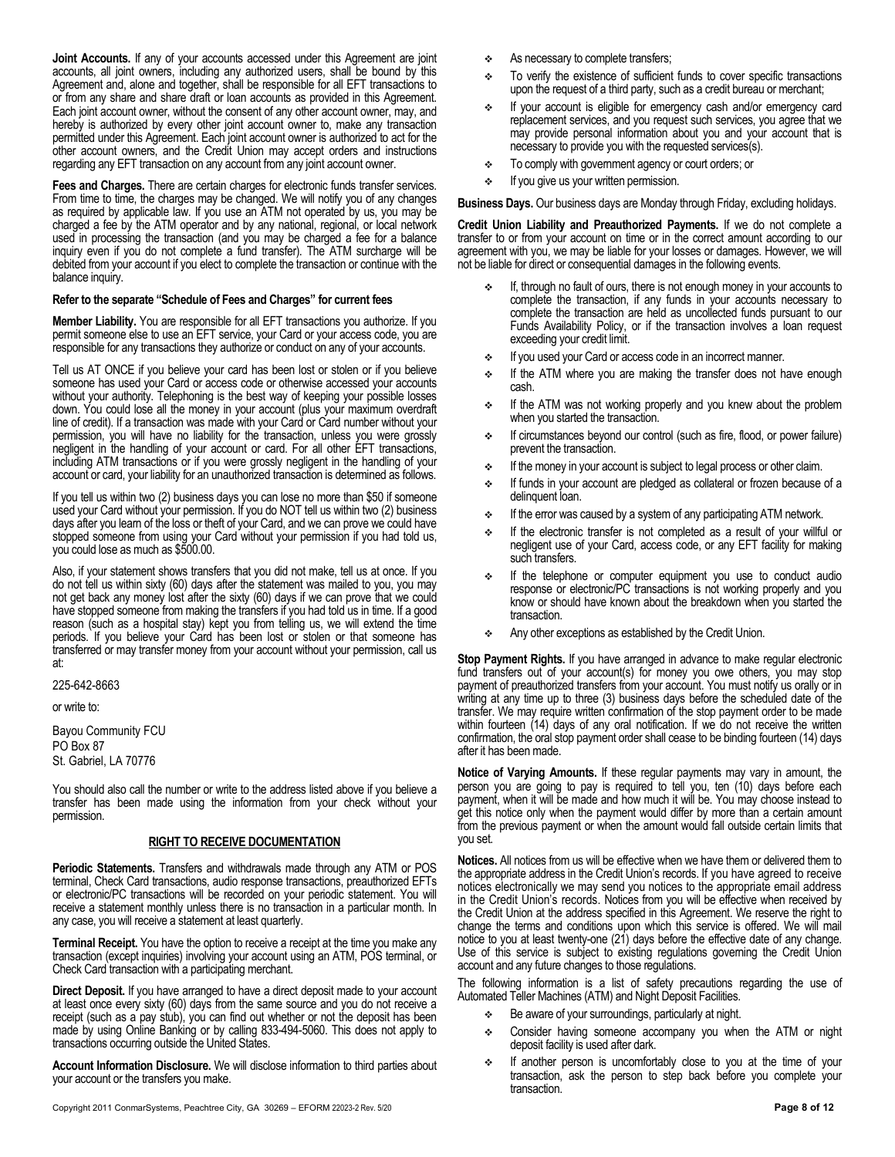**Joint Accounts.** If any of your accounts accessed under this Agreement are joint accounts, all joint owners, including any authorized users, shall be bound by this Agreement and, alone and together, shall be responsible for all EFT transactions to or from any share and share draft or loan accounts as provided in this Agreement. Each joint account owner, without the consent of any other account owner, may, and hereby is authorized by every other joint account owner to, make any transaction permitted under this Agreement. Each joint account owner is authorized to act for the other account owners, and the Credit Union may accept orders and instructions regarding any EFT transaction on any account from any joint account owner.

**Fees and Charges.** There are certain charges for electronic funds transfer services. From time to time, the charges may be changed. We will notify you of any changes as required by applicable law. If you use an ATM not operated by us, you may be charged a fee by the ATM operator and by any national, regional, or local network used in processing the transaction (and you may be charged a fee for a balance inquiry even if you do not complete a fund transfer). The ATM surcharge will be debited from your account if you elect to complete the transaction or continue with the balance inquiry.

#### **Refer to the separate "Schedule of Fees and Charges" for current fees**

**Member Liability.** You are responsible for all EFT transactions you authorize. If you permit someone else to use an EFT service, your Card or your access code, you are responsible for any transactions they authorize or conduct on any of your accounts.

Tell us AT ONCE if you believe your card has been lost or stolen or if you believe someone has used your Card or access code or otherwise accessed your accounts without your authority. Telephoning is the best way of keeping your possible losses down. You could lose all the money in your account (plus your maximum overdraft line of credit). If a transaction was made with your Card or Card number without your permission, you will have no liability for the transaction, unless you were grossly negligent in the handling of your account or card. For all other EFT transactions, including ATM transactions or if you were grossly negligent in the handling of your account or card, your liability for an unauthorized transaction is determined as follows.

If you tell us within two (2) business days you can lose no more than \$50 if someone used your Card without your permission. If you do NOT tell us within two (2) business days after you learn of the loss or theft of your Card, and we can prove we could have stopped someone from using your Card without your permission if you had told us, you could lose as much as \$500.00.

Also, if your statement shows transfers that you did not make, tell us at once. If you do not tell us within sixty (60) days after the statement was mailed to you, you may not get back any money lost after the sixty (60) days if we can prove that we could have stopped someone from making the transfers if you had told us in time. If a good reason (such as a hospital stay) kept you from telling us, we will extend the time periods. If you believe your Card has been lost or stolen or that someone has transferred or may transfer money from your account without your permission, call us at:

225-642-8663

or write to:

Bayou Community FCU PO Box 87 St. Gabriel, LA 70776

You should also call the number or write to the address listed above if you believe a transfer has been made using the information from your check without your permission.

#### **RIGHT TO RECEIVE DOCUMENTATION**

**Periodic Statements.** Transfers and withdrawals made through any ATM or POS terminal, Check Card transactions, audio response transactions, preauthorized EFTs or electronic/PC transactions will be recorded on your periodic statement. You will receive a statement monthly unless there is no transaction in a particular month. In any case, you will receive a statement at least quarterly.

**Terminal Receipt.** You have the option to receive a receipt at the time you make any transaction (except inquiries) involving your account using an ATM, POS terminal, or Check Card transaction with a participating merchant.

**Direct Deposit.** If you have arranged to have a direct deposit made to your account at least once every sixty (60) days from the same source and you do not receive a receipt (such as a pay stub), you can find out whether or not the deposit has been made by using Online Banking or by calling 833-494-5060. This does not apply to transactions occurring outside the United States.

**Account Information Disclosure.** We will disclose information to third parties about your account or the transfers you make.

- As necessary to complete transfers;
- To verify the existence of sufficient funds to cover specific transactions upon the request of a third party, such as a credit bureau or merchant;
- If your account is eligible for emergency cash and/or emergency card replacement services, and you request such services, you agree that we may provide personal information about you and your account that is necessary to provide you with the requested services(s).
- To comply with government agency or court orders; or
- If you give us your written permission.

**Business Days.** Our business days are Monday through Friday, excluding holidays.

**Credit Union Liability and Preauthorized Payments.** If we do not complete a transfer to or from your account on time or in the correct amount according to our agreement with you, we may be liable for your losses or damages. However, we will not be liable for direct or consequential damages in the following events.

- If, through no fault of ours, there is not enough money in your accounts to complete the transaction, if any funds in your accounts necessary to complete the transaction are held as uncollected funds pursuant to our Funds Availability Policy, or if the transaction involves a loan request exceeding your credit limit.
- $\div$  If you used your Card or access code in an incorrect manner.
- $\div$  If the ATM where you are making the transfer does not have enough cash.
- $\div$  If the ATM was not working properly and you knew about the problem when you started the transaction.
- If circumstances beyond our control (such as fire, flood, or power failure) prevent the transaction.
- $\div$  If the money in your account is subject to legal process or other claim.
- If funds in your account are pledged as collateral or frozen because of a delinquent loan.
- $\div$  If the error was caused by a system of any participating ATM network.
- $\div$  If the electronic transfer is not completed as a result of your willful or negligent use of your Card, access code, or any EFT facility for making such transfers.
- If the telephone or computer equipment you use to conduct audio response or electronic/PC transactions is not working properly and you know or should have known about the breakdown when you started the transaction.
- Any other exceptions as established by the Credit Union.

**Stop Payment Rights.** If you have arranged in advance to make regular electronic fund transfers out of your account(s) for money you owe others, you may stop payment of preauthorized transfers from your account. You must notify us orally or in writing at any time up to three (3) business days before the scheduled date of the transfer. We may require written confirmation of the stop payment order to be made within fourteen (14) days of any oral notification. If we do not receive the written confirmation, the oral stop payment order shall cease to be binding fourteen (14) days after it has been made.

**Notice of Varying Amounts.** If these regular payments may vary in amount, the person you are going to pay is required to tell you, ten (10) days before each payment, when it will be made and how much it will be. You may choose instead to get this notice only when the payment would differ by more than a certain amount from the previous payment or when the amount would fall outside certain limits that you set.

**Notices.** All notices from us will be effective when we have them or delivered them to the appropriate address in the Credit Union's records. If you have agreed to receive notices electronically we may send you notices to the appropriate email address in the Credit Union's records. Notices from you will be effective when received by the Credit Union at the address specified in this Agreement. We reserve the right to change the terms and conditions upon which this service is offered. We will mail notice to you at least twenty-one (21) days before the effective date of any change. Use of this service is subject to existing regulations governing the Credit Union account and any future changes to those regulations.

The following information is a list of safety precautions regarding the use of Automated Teller Machines (ATM) and Night Deposit Facilities.

- $\div$  Be aware of your surroundings, particularly at night.
- Consider having someone accompany you when the ATM or night deposit facility is used after dark.
- If another person is uncomfortably close to you at the time of your transaction, ask the person to step back before you complete your transaction.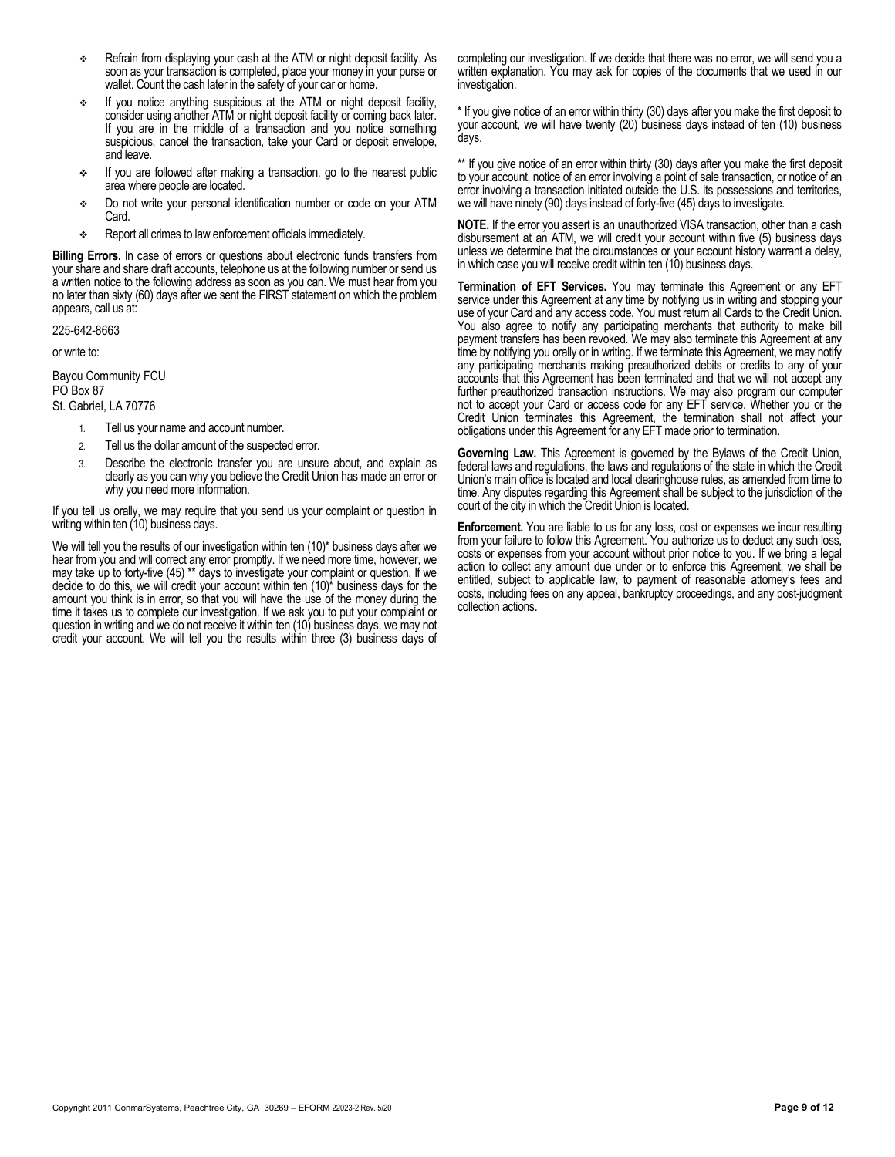- Refrain from displaying your cash at the ATM or night deposit facility. As soon as your transaction is completed, place your money in your purse or wallet. Count the cash later in the safety of your car or home.
- If you notice anything suspicious at the ATM or night deposit facility, consider using another ATM or night deposit facility or coming back later. If you are in the middle of a transaction and you notice something suspicious, cancel the transaction, take your Card or deposit envelope, and leave.
- If you are followed after making a transaction, go to the nearest public area where people are located.
- Do not write your personal identification number or code on your ATM Card.
- Report all crimes to law enforcement officials immediately.

**Billing Errors.** In case of errors or questions about electronic funds transfers from your share and share draft accounts, telephone us at the following number or send us a written notice to the following address as soon as you can. We must hear from you no later than sixty (60) days after we sent the FIRST statement on which the problem appears, call us at:

225-642-8663

or write to:

Bayou Community FCU

PO Box 87 St. Gabriel, LA 70776

- 1. Tell us your name and account number.
- 2. Tell us the dollar amount of the suspected error.
- 3. Describe the electronic transfer you are unsure about, and explain as clearly as you can why you believe the Credit Union has made an error or why you need more information.

If you tell us orally, we may require that you send us your complaint or question in writing within ten (10) business days.

We will tell you the results of our investigation within ten (10)\* business days after we hear from you and will correct any error promptly. If we need more time, however, we may take up to forty-five (45) \*\* days to investigate your complaint or question. If we decide to do this, we will credit your account within ten  $(10)^*$  business days for the amount you think is in error, so that you will have the use of the money during the time it takes us to complete our investigation. If we ask you to put your complaint or question in writing and we do not receive it within ten (10) business days, we may not credit your account. We will tell you the results within three (3) business days of completing our investigation. If we decide that there was no error, we will send you a written explanation. You may ask for copies of the documents that we used in our investigation.

\* If you give notice of an error within thirty (30) days after you make the first deposit to your account, we will have twenty (20) business days instead of ten (10) business days.

\*\* If you give notice of an error within thirty (30) days after you make the first deposit to your account, notice of an error involving a point of sale transaction, or notice of an error involving a transaction initiated outside the U.S. its possessions and territories, we will have ninety (90) days instead of forty-five (45) days to investigate.

**NOTE.** If the error you assert is an unauthorized VISA transaction, other than a cash disbursement at an ATM, we will credit your account within five (5) business days unless we determine that the circumstances or your account history warrant a delay, in which case you will receive credit within ten (10) business days.

**Termination of EFT Services.** You may terminate this Agreement or any EFT service under this Agreement at any time by notifying us in writing and stopping your use of your Card and any access code. You must return all Cards to the Credit Union. You also agree to notify any participating merchants that authority to make bill payment transfers has been revoked. We may also terminate this Agreement at any time by notifying you orally or in writing. If we terminate this Agreement, we may notify any participating merchants making preauthorized debits or credits to any of your accounts that this Agreement has been terminated and that we will not accept any further preauthorized transaction instructions. We may also program our computer not to accept your Card or access code for any EFT service. Whether you or the Credit Union terminates this Agreement, the termination shall not affect your obligations under this Agreement for any EFT made prior to termination.

**Governing Law.** This Agreement is governed by the Bylaws of the Credit Union, federal laws and regulations, the laws and regulations of the state in which the Credit Union's main office is located and local clearinghouse rules, as amended from time to time. Any disputes regarding this Agreement shall be subject to the jurisdiction of the court of the city in which the Credit Union is located.

**Enforcement.** You are liable to us for any loss, cost or expenses we incur resulting from your failure to follow this Agreement. You authorize us to deduct any such loss, costs or expenses from your account without prior notice to you. If we bring a legal action to collect any amount due under or to enforce this Agreement, we shall be entitled, subject to applicable law, to payment of reasonable attorney's fees and costs, including fees on any appeal, bankruptcy proceedings, and any post-judgment collection actions.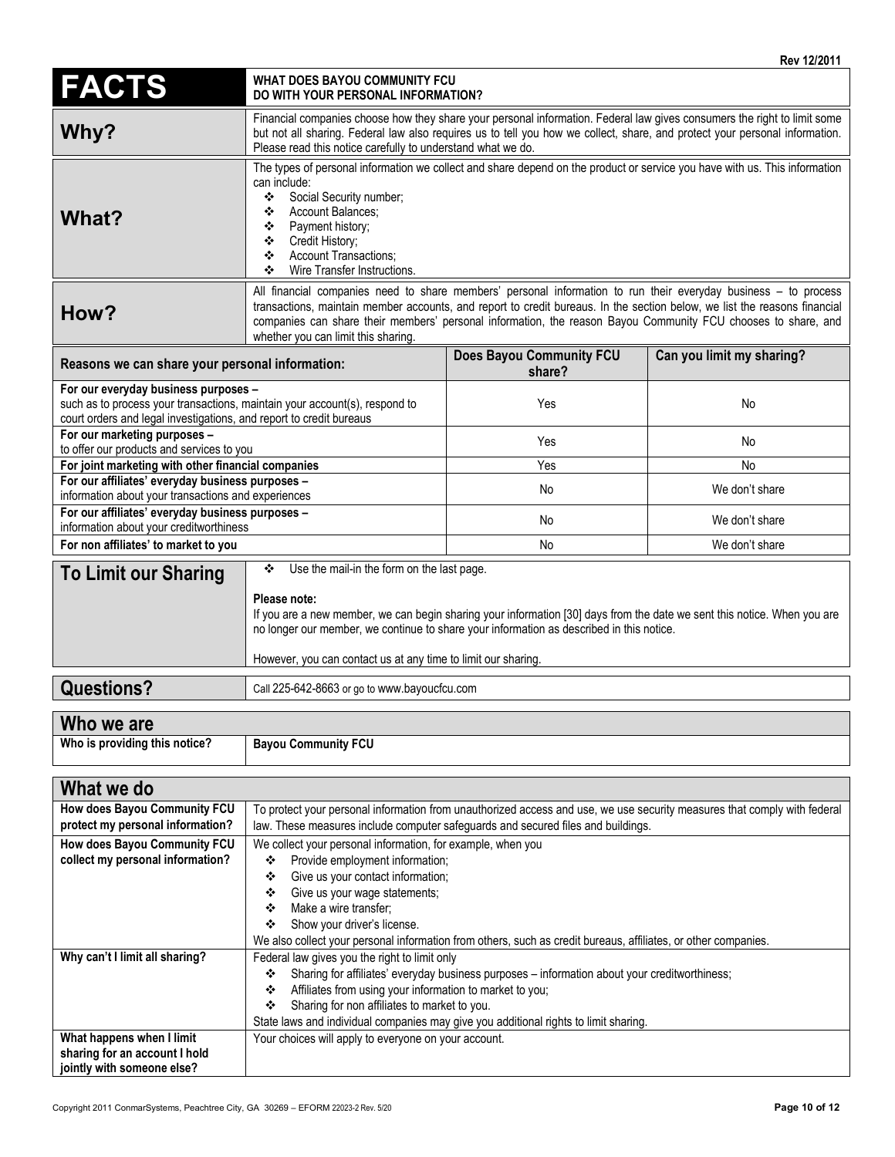| <b>FACTS</b>                                                                                                                                                                              | INGY I <i>li</i> zui<br>WHAT DOES BAYOU COMMUNITY FCU<br>DO WITH YOUR PERSONAL INFORMATION?                                                                                                                                                                                                                                                                                                          |                                           |                           |  |
|-------------------------------------------------------------------------------------------------------------------------------------------------------------------------------------------|------------------------------------------------------------------------------------------------------------------------------------------------------------------------------------------------------------------------------------------------------------------------------------------------------------------------------------------------------------------------------------------------------|-------------------------------------------|---------------------------|--|
| Why?                                                                                                                                                                                      | Financial companies choose how they share your personal information. Federal law gives consumers the right to limit some<br>but not all sharing. Federal law also requires us to tell you how we collect, share, and protect your personal information.<br>Please read this notice carefully to understand what we do.                                                                               |                                           |                           |  |
| What?                                                                                                                                                                                     | The types of personal information we collect and share depend on the product or service you have with us. This information<br>can include:<br>Social Security number;<br>❖<br>Account Balances;<br>❖<br>Payment history;<br>❖<br>Credit History;<br>❖<br><b>Account Transactions;</b><br>❖<br>Wire Transfer Instructions.<br>❖                                                                       |                                           |                           |  |
| How?                                                                                                                                                                                      | All financial companies need to share members' personal information to run their everyday business - to process<br>transactions, maintain member accounts, and report to credit bureaus. In the section below, we list the reasons financial<br>companies can share their members' personal information, the reason Bayou Community FCU chooses to share, and<br>whether you can limit this sharing. |                                           |                           |  |
| Reasons we can share your personal information:                                                                                                                                           |                                                                                                                                                                                                                                                                                                                                                                                                      | <b>Does Bayou Community FCU</b><br>share? | Can you limit my sharing? |  |
| For our everyday business purposes -<br>such as to process your transactions, maintain your account(s), respond to<br>court orders and legal investigations, and report to credit bureaus |                                                                                                                                                                                                                                                                                                                                                                                                      | Yes                                       | No                        |  |
| For our marketing purposes -<br>to offer our products and services to you                                                                                                                 |                                                                                                                                                                                                                                                                                                                                                                                                      | Yes                                       | No                        |  |
| For joint marketing with other financial companies                                                                                                                                        |                                                                                                                                                                                                                                                                                                                                                                                                      | Yes                                       | No                        |  |
| For our affiliates' everyday business purposes -<br>information about your transactions and experiences                                                                                   |                                                                                                                                                                                                                                                                                                                                                                                                      | No                                        | We don't share            |  |
| For our affiliates' everyday business purposes -<br>information about your creditworthiness                                                                                               |                                                                                                                                                                                                                                                                                                                                                                                                      | No                                        | We don't share            |  |
| For non affiliates' to market to you                                                                                                                                                      |                                                                                                                                                                                                                                                                                                                                                                                                      | No                                        | We don't share            |  |
| <b>To Limit our Sharing</b>                                                                                                                                                               | Use the mail-in the form on the last page.<br>❖<br>Please note:<br>If you are a new member, we can begin sharing your information [30] days from the date we sent this notice. When you are<br>no longer our member, we continue to share your information as described in this notice.<br>However, you can contact us at any time to limit our sharing.                                             |                                           |                           |  |
| <b>Questions?</b>                                                                                                                                                                         | Call 225-642-8663 or go to www.bayoucfcu.com                                                                                                                                                                                                                                                                                                                                                         |                                           |                           |  |
| Who we are                                                                                                                                                                                |                                                                                                                                                                                                                                                                                                                                                                                                      |                                           |                           |  |
| Who is providing this notice?                                                                                                                                                             | <b>Bayou Community FCU</b>                                                                                                                                                                                                                                                                                                                                                                           |                                           |                           |  |
|                                                                                                                                                                                           |                                                                                                                                                                                                                                                                                                                                                                                                      |                                           |                           |  |
| What we do<br>How does Bayou Community FCU<br>protect my personal information?                                                                                                            | To protect your personal information from unauthorized access and use, we use security measures that comply with federal<br>law. These measures include computer safeguards and secured files and buildings.                                                                                                                                                                                         |                                           |                           |  |
| How does Bayou Community FCU<br>collect my personal information?                                                                                                                          | We collect your personal information, for example, when you<br>Provide employment information;<br>❖                                                                                                                                                                                                                                                                                                  |                                           |                           |  |

| collect my personal information? | Provide employment information;<br>❖                                                                           |  |  |
|----------------------------------|----------------------------------------------------------------------------------------------------------------|--|--|
|                                  | Give us your contact information;<br>❖                                                                         |  |  |
|                                  | Give us your wage statements;<br>❖                                                                             |  |  |
|                                  | Make a wire transfer;<br>❖                                                                                     |  |  |
|                                  | Show your driver's license.<br>❖                                                                               |  |  |
|                                  | We also collect your personal information from others, such as credit bureaus, affiliates, or other companies. |  |  |
| Why can't I limit all sharing?   | Federal law gives you the right to limit only                                                                  |  |  |
|                                  | Sharing for affiliates' everyday business purposes – information about your creditworthiness;<br>❖             |  |  |
|                                  | Affiliates from using your information to market to you;<br>❖                                                  |  |  |
|                                  | Sharing for non affiliates to market to you.<br>❖                                                              |  |  |
|                                  | State laws and individual companies may give you additional rights to limit sharing.                           |  |  |
| What happens when I limit        | Your choices will apply to everyone on your account.                                                           |  |  |
| sharing for an account I hold    |                                                                                                                |  |  |
| jointly with someone else?       |                                                                                                                |  |  |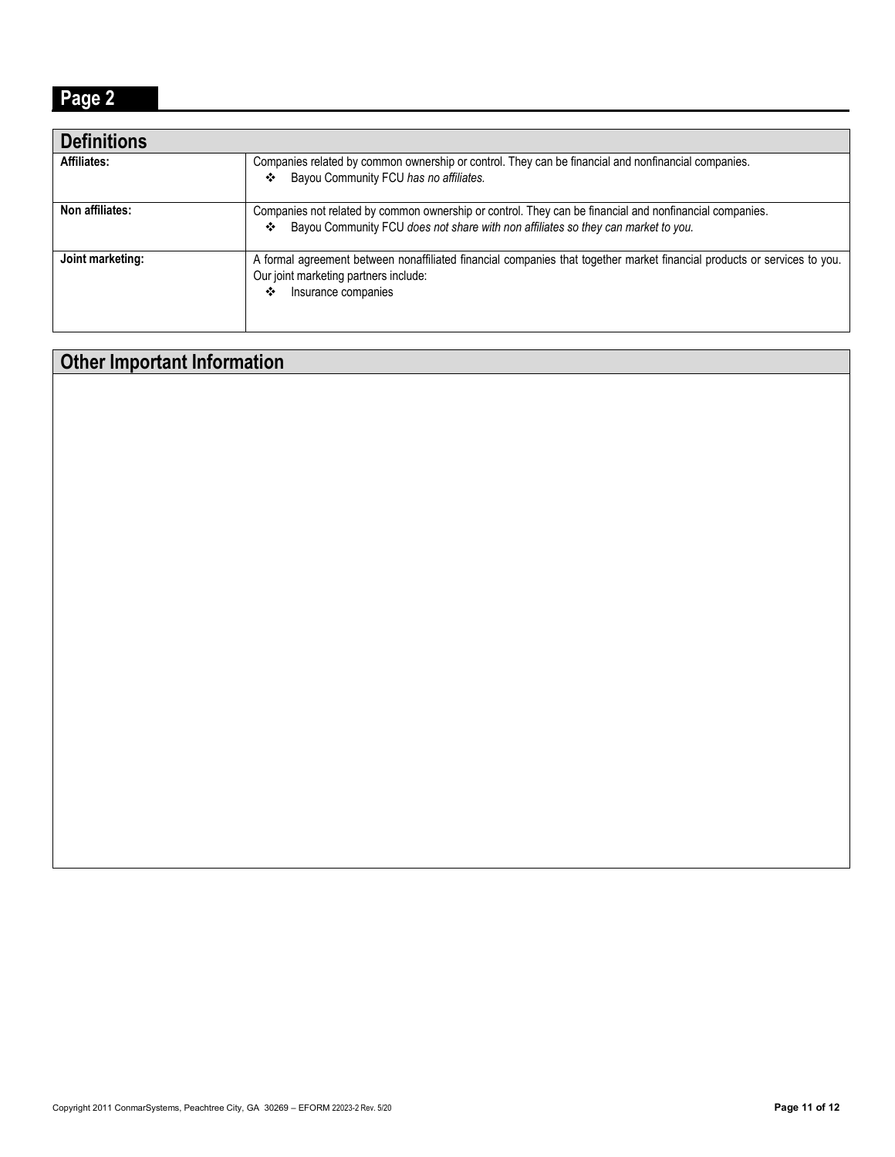### **Page 2**

| <b>Definitions</b> |                                                                                                                                                                                                   |
|--------------------|---------------------------------------------------------------------------------------------------------------------------------------------------------------------------------------------------|
| Affiliates:        | Companies related by common ownership or control. They can be financial and nonfinancial companies.<br>Bayou Community FCU has no affiliates.<br>❖                                                |
| Non affiliates:    | Companies not related by common ownership or control. They can be financial and nonfinancial companies.<br>Bayou Community FCU does not share with non affiliates so they can market to you.<br>❖ |
| Joint marketing:   | A formal agreement between nonaffiliated financial companies that together market financial products or services to you.<br>Our joint marketing partners include:<br>Insurance companies<br>❖     |

## **Other Important Information**